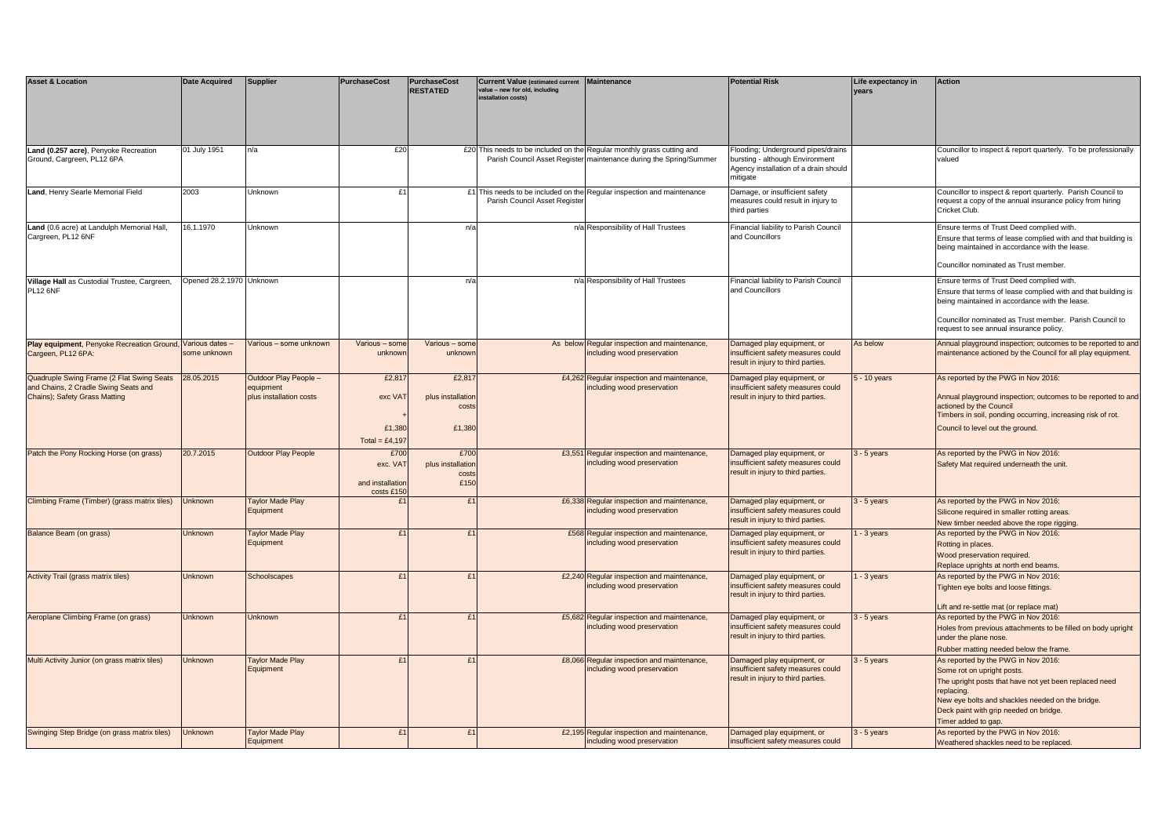| <b>Asset &amp; Location</b>                                                                                        | <b>Date Acquired</b>     | <b>Supplier</b>                                               | <b>PurchaseCost</b>                                | <b>PurchaseCost</b><br><b>RESTATED</b>       | <b>Current Value (estimated current</b><br>value - new for old, including<br>installation costs) | <b>Maintenance</b>                                                                                                                           | <b>Potential Risk</b>                                                                                                     | Life expectancy in<br>years | <b>Action</b>                                                                                                                                                                                                                                                      |
|--------------------------------------------------------------------------------------------------------------------|--------------------------|---------------------------------------------------------------|----------------------------------------------------|----------------------------------------------|--------------------------------------------------------------------------------------------------|----------------------------------------------------------------------------------------------------------------------------------------------|---------------------------------------------------------------------------------------------------------------------------|-----------------------------|--------------------------------------------------------------------------------------------------------------------------------------------------------------------------------------------------------------------------------------------------------------------|
| Land (0.257 acre), Penyoke Recreation<br>Ground, Cargreen, PL12 6PA                                                | 01 July 1951             | n/a                                                           | £20                                                |                                              |                                                                                                  | £20 This needs to be included on the Regular monthly grass cutting and<br>Parish Council Asset Register maintenance during the Spring/Summer | looding; Underground pipes/drains<br>oursting - although Environment<br>Agency installation of a drain should<br>mitigate |                             | Councillor to inspect & report quarterly. To be professionally<br>valued                                                                                                                                                                                           |
| Land, Henry Searle Memorial Field                                                                                  | 2003                     | Unknown                                                       | £1                                                 |                                              | Parish Council Asset Registe                                                                     | £1 This needs to be included on the Regular inspection and maintenance                                                                       | Damage, or insufficient safety<br>neasures could result in injury to<br>third parties                                     |                             | Councillor to inspect & report quarterly. Parish Council to<br>request a copy of the annual insurance policy from hiring<br>Cricket Club.                                                                                                                          |
| Land (0.6 acre) at Landulph Memorial Hall,<br>Cargreen, PL12 6NF                                                   | 16.1.1970                | Unknown                                                       |                                                    | $n/\varepsilon$                              |                                                                                                  | n/a Responsibility of Hall Trustees                                                                                                          | Financial liability to Parish Council<br>and Councillors                                                                  |                             | Ensure terms of Trust Deed complied with.<br>Ensure that terms of lease complied with and that building is<br>being maintained in accordance with the lease.<br>Councillor nominated as Trust member.                                                              |
| Village Hall as Custodial Trustee, Cargreen,<br><b>PL12 6NF</b>                                                    | Opened 28.2.1970 Unknown |                                                               |                                                    | n/a                                          |                                                                                                  | n/a Responsibility of Hall Trustees                                                                                                          | Financial liability to Parish Council<br>and Councillors                                                                  |                             | Ensure terms of Trust Deed complied with.<br>Ensure that terms of lease complied with and that building is<br>being maintained in accordance with the lease.<br>Councillor nominated as Trust member. Parish Council to<br>request to see annual insurance policy. |
| Play equipment, Penyoke Recreation Ground, Various dates -<br>Cargeen, PL12 6PA:                                   | some unknown             | Various - some unknown                                        | Various - some<br>unknowr                          | Various - som<br>unknow                      |                                                                                                  | As below Regular inspection and maintenance,<br>including wood preservation                                                                  | Damaged play equipment, or<br>insufficient safety measures could<br>result in injury to third parties.                    | As below                    | Annual playground inspection; outcomes to be reported to and<br>maintenance actioned by the Council for all play equipment.                                                                                                                                        |
| Quadruple Swing Frame (2 Flat Swing Seats<br>and Chains, 2 Cradle Swing Seats and<br>Chains); Safety Grass Matting | 28.05.2015               | Outdoor Play People -<br>equipment<br>plus installation costs | £2,81<br>exc VAT<br>£1,380<br>Total = £4,197       | £2,81<br>plus installation<br>cost<br>£1,380 |                                                                                                  | £4,262 Regular inspection and maintenance,<br>including wood preservation                                                                    | Damaged play equipment, or<br>insufficient safety measures could<br>result in injury to third parties.                    | - 10 years                  | As reported by the PWG in Nov 2016:<br>Annual playground inspection; outcomes to be reported to and<br>actioned by the Council<br>Timbers in soil, ponding occurring, increasing risk of rot.<br>Council to level out the ground.                                  |
| Patch the Pony Rocking Horse (on grass)                                                                            | 20.7.2015                | Outdoor Play People                                           | £700<br>exc. VAT<br>and installation<br>costs £150 | £700<br>plus installatio<br>cost<br>£150     |                                                                                                  | £3,551 Regular inspection and maintenance,<br>ncluding wood preservation                                                                     | Damaged play equipment, or<br>insufficient safety measures could<br>result in injury to third parties.                    | $3 - 5$ years               | As reported by the PWG in Nov 2016:<br>Safety Mat required underneath the unit.                                                                                                                                                                                    |
| Climbing Frame (Timber) (grass matrix tiles)                                                                       | Unknown                  | Taylor Made Play<br>Equipment                                 | £.                                                 | £1                                           |                                                                                                  | £6,338 Regular inspection and maintenance,<br>including wood preservation                                                                    | Damaged play equipment, or<br>insufficient safety measures could<br>result in injury to third parties.                    | - 5 years                   | As reported by the PWG in Nov 2016:<br>Silicone required in smaller rotting areas.<br>New timber needed above the rope rigging.                                                                                                                                    |
| Balance Beam (on grass)                                                                                            | Unknown                  | <b>Taylor Made Play</b><br>Equipment                          | f1                                                 | £1                                           |                                                                                                  | £568 Regular inspection and maintenance,<br>ncluding wood preservation                                                                       | Damaged play equipment, or<br>insufficient safety measures could<br>result in injury to third parties.                    | - 3 years                   | As reported by the PWG in Nov 2016:<br>Rotting in places.<br>Wood preservation required.<br>Replace uprights at north end beams.                                                                                                                                   |
| Activity Trail (grass matrix tiles)                                                                                | Unknown                  | Schoolscapes                                                  | f1                                                 | f1                                           |                                                                                                  | £2,240 Regular inspection and maintenance,<br>including wood preservation                                                                    | Damaged play equipment, or<br>insufficient safety measures could<br>result in injury to third parties.                    | - 3 years                   | As reported by the PWG in Nov 2016:<br>Tighten eye bolts and loose fittings.<br>Lift and re-settle mat (or replace mat)                                                                                                                                            |
| Aeroplane Climbing Frame (on grass)                                                                                | Unknown                  | Unknown                                                       | £.                                                 | f1                                           |                                                                                                  | £5,682 Regular inspection and maintenance,<br>including wood preservation                                                                    | Damaged play equipment, or<br>insufficient safety measures could<br>result in injury to third parties.                    | $3 - 5$ years               | As reported by the PWG in Nov 2016:<br>Holes from previous attachments to be filled on body upright<br>under the plane nose.<br>Rubber matting needed below the frame.                                                                                             |
| Multi Activity Junior (on grass matrix tiles)                                                                      | Unknown                  | <b>Taylor Made Play</b><br>Equipment                          | f1                                                 | f1                                           |                                                                                                  | £8,066 Regular inspection and maintenance,<br>including wood preservation                                                                    | Damaged play equipment, or<br>insufficient safety measures could<br>result in injury to third parties.                    | $3 - 5$ years               | As reported by the PWG in Nov 2016:<br>Some rot on upright posts.<br>The upright posts that have not yet been replaced need<br>replacing.<br>New eye bolts and shackles needed on the bridge.<br>Deck paint with grip needed on bridge.<br>Timer added to gap.     |
| Swinging Step Bridge (on grass matrix tiles)                                                                       | Unknown                  | Taylor Made Play<br>Equipment                                 | £1                                                 | £1                                           |                                                                                                  | £2,195 Regular inspection and maintenance,<br>including wood preservation                                                                    | Damaged play equipment, or<br>insufficient safety measures could                                                          | $3 - 5$ years               | As reported by the PWG in Nov 2016:<br>Weathered shackles need to be replaced.                                                                                                                                                                                     |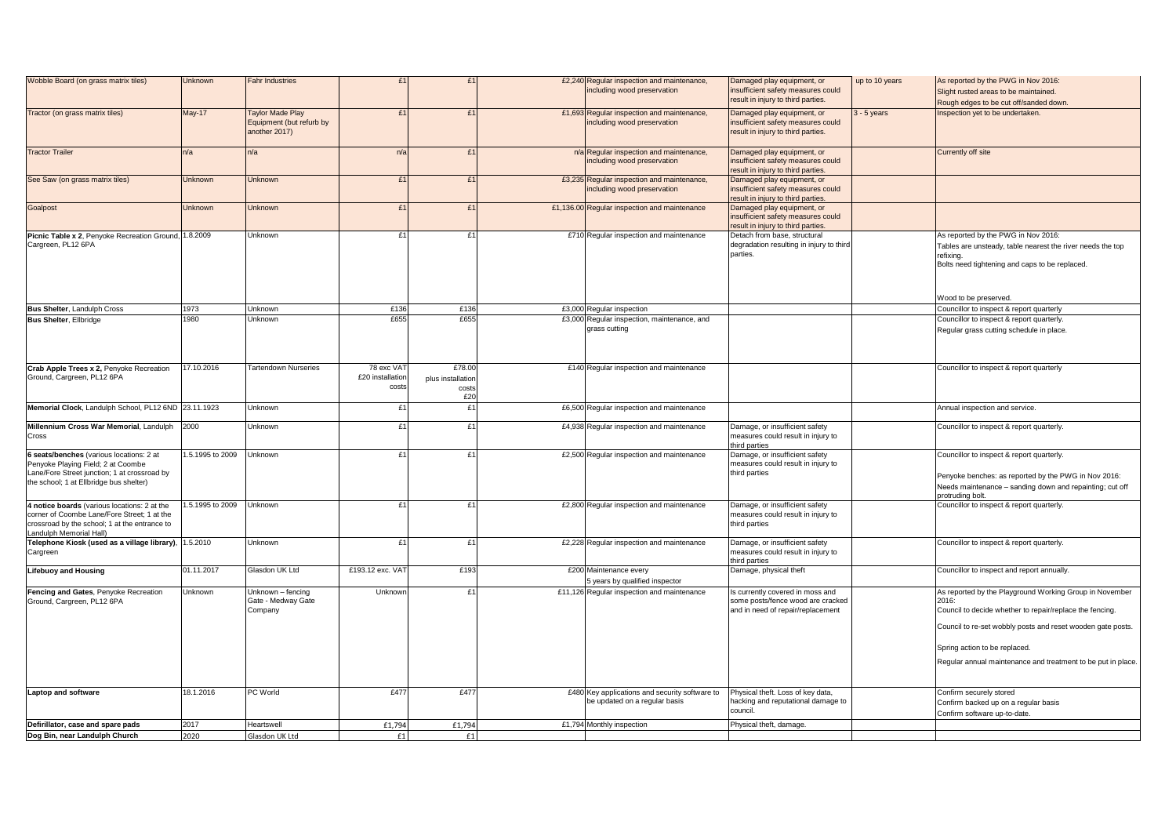| Wobble Board (on grass matrix tiles)                                                                                                                                      | Unknown          | <b>Fahr Industries</b>                                               | t.                                      | f1                                          | £2,240 Regular inspection and maintenance,<br>including wood preservation       | Damaged play equipment, or<br>insufficient safety measures could<br>result in injury to third parties.     | up to 10 years | As reported by the PWG in Nov 2016:<br>Slight rusted areas to be maintained.<br>Rough edges to be cut off/sanded down.                                                                                                                                                                      |
|---------------------------------------------------------------------------------------------------------------------------------------------------------------------------|------------------|----------------------------------------------------------------------|-----------------------------------------|---------------------------------------------|---------------------------------------------------------------------------------|------------------------------------------------------------------------------------------------------------|----------------|---------------------------------------------------------------------------------------------------------------------------------------------------------------------------------------------------------------------------------------------------------------------------------------------|
| Tractor (on grass matrix tiles)                                                                                                                                           | <b>May-17</b>    | <b>Taylor Made Play</b><br>Equipment (but refurb by<br>another 2017) | f.                                      | f1                                          | £1,693 Regular inspection and maintenance,<br>including wood preservation       | Damaged play equipment, or<br>insufficient safety measures could<br>result in injury to third parties.     | $3 - 5$ years  | Inspection yet to be undertaken.                                                                                                                                                                                                                                                            |
| <b>Tractor Trailer</b>                                                                                                                                                    | n/a              | n/a                                                                  | n/a                                     | f1                                          | n/a Regular inspection and maintenance,<br>including wood preservation          | Damaged play equipment, or<br>insufficient safety measures could<br>result in injury to third parties.     |                | Currently off site                                                                                                                                                                                                                                                                          |
| See Saw (on grass matrix tiles)                                                                                                                                           | Unknown          | Unknown                                                              | £1                                      | f1                                          | £3,235 Regular inspection and maintenance,<br>including wood preservation       | Damaged play equipment, or<br>insufficient safety measures could<br>esult in injury to third parties.      |                |                                                                                                                                                                                                                                                                                             |
| Goalpost                                                                                                                                                                  | <b>Unknown</b>   | <b>Unknown</b>                                                       | £1                                      | £1                                          | £1,136.00 Regular inspection and maintenance                                    | Damaged play equipment, or<br>insufficient safety measures could<br>esult in injury to third parties.      |                |                                                                                                                                                                                                                                                                                             |
| Picnic Table x 2, Penyoke Recreation Ground, 1.8.2009<br>Cargreen, PL12 6PA                                                                                               |                  | Unknown                                                              | £1                                      | £1                                          | £710 Regular inspection and maintenance                                         | Detach from base, structural<br>degradation resulting in injury to third<br>parties.                       |                | As reported by the PWG in Nov 2016:<br>Tables are unsteady, table nearest the river needs the top<br>refixing.<br>Bolts need tightening and caps to be replaced.                                                                                                                            |
|                                                                                                                                                                           |                  |                                                                      |                                         |                                             |                                                                                 |                                                                                                            |                | Wood to be preserved.                                                                                                                                                                                                                                                                       |
| <b>Bus Shelter, Landulph Cross</b>                                                                                                                                        | 1973<br>1980     | Unknown<br><b>Unknown</b>                                            | £136<br>£655                            | £136<br>£655                                | £3,000 Regular inspection                                                       |                                                                                                            |                | Councillor to inspect & report quarterly                                                                                                                                                                                                                                                    |
| <b>Bus Shelter, Ellbridge</b>                                                                                                                                             |                  |                                                                      |                                         |                                             | £3,000 Regular inspection, maintenance, and<br>grass cutting                    |                                                                                                            |                | Councillor to inspect & report quarterly.<br>Regular grass cutting schedule in place.                                                                                                                                                                                                       |
| Crab Apple Trees x 2, Penyoke Recreation<br>Ground, Cargreen, PL12 6PA                                                                                                    | 17.10.2016       | <b>Tartendown Nurseries</b>                                          | 78 exc VAT<br>£20 installation<br>costs | £78.00<br>plus installation<br>costs<br>£20 | £140 Regular inspection and maintenance                                         |                                                                                                            |                | Councillor to inspect & report quarterly                                                                                                                                                                                                                                                    |
| Memorial Clock, Landulph School, PL12 6ND 23.11.1923                                                                                                                      |                  | Unknown                                                              | £1                                      | £1                                          | £6,500 Regular inspection and maintenance                                       |                                                                                                            |                | Annual inspection and service.                                                                                                                                                                                                                                                              |
| Millennium Cross War Memorial, Landulph<br>Cross                                                                                                                          | 2000             | Unknown                                                              | £1                                      | £1                                          | £4,938 Regular inspection and maintenance                                       | Damage, or insufficient safety<br>measures could result in injury to<br>hird parties                       |                | Councillor to inspect & report quarterly.                                                                                                                                                                                                                                                   |
| 6 seats/benches (various locations: 2 at<br>Penyoke Playing Field; 2 at Coombe<br>Lane/Fore Street junction; 1 at crossroad by<br>the school; 1 at Ellbridge bus shelter) | 1.5.1995 to 2009 | Unknown                                                              | £1                                      | £1                                          | £2,500 Regular inspection and maintenance                                       | Damage, or insufficient safety<br>neasures could result in injury to<br>third parties                      |                | Councillor to inspect & report quarterly.<br>Penyoke benches: as reported by the PWG in Nov 2016:<br>Needs maintenance - sanding down and repainting; cut off<br>rotruding bolt.                                                                                                            |
| 4 notice boards (various locations: 2 at the<br>corner of Coombe Lane/Fore Street; 1 at the<br>crossroad by the school; 1 at the entrance to<br>Landulph Memorial Hall)   | 1.5.1995 to 2009 | Unknown                                                              | £1                                      | £1                                          | £2,800 Regular inspection and maintenance                                       | Damage, or insufficient safety<br>measures could result in injury to<br>third parties                      |                | Councillor to inspect & report quarterly.                                                                                                                                                                                                                                                   |
| Telephone Kiosk (used as a village library),<br>Cargreen                                                                                                                  | 1.5.2010         | Unknown                                                              | £1                                      | £1                                          | £2,228 Regular inspection and maintenance                                       | Damage, or insufficient safety<br>measures could result in injury to<br>third parties                      |                | Councillor to inspect & report quarterly.                                                                                                                                                                                                                                                   |
| <b>Lifebuoy and Housing</b>                                                                                                                                               | 01.11.2017       | Glasdon UK Ltd                                                       | £193.12 exc. VAT                        | £193                                        | £200 Maintenance every<br>5 years by qualified inspector                        | Damage, physical theft                                                                                     |                | Councillor to inspect and report annually.                                                                                                                                                                                                                                                  |
| Fencing and Gates, Penyoke Recreation<br>Ground, Cargreen, PL12 6PA                                                                                                       | Unknown          | Unknown - fencing<br>Gate - Medway Gate<br>Company                   | Unknown                                 | £1                                          | £11,126 Regular inspection and maintenance                                      | Is currently covered in moss and<br>some posts/fence wood are cracked<br>and in need of repair/replacement |                | As reported by the Playground Working Group in November<br>2016:<br>Council to decide whether to repair/replace the fencing.<br>Council to re-set wobbly posts and reset wooden gate posts.<br>Spring action to be replaced.<br>Regular annual maintenance and treatment to be put in place |
| <b>Laptop and software</b>                                                                                                                                                | 18.1.2016        | PC World                                                             | £477                                    | £477                                        | £480 Key applications and security software to<br>be updated on a regular basis | Physical theft. Loss of key data,<br>hacking and reputational damage to<br>council.                        |                | Confirm securely stored<br>Confirm backed up on a regular basis<br>Confirm software up-to-date.                                                                                                                                                                                             |
| Defirillator, case and spare pads                                                                                                                                         | 2017             | Heartswell                                                           | £1,794                                  | £1,794                                      | £1,794 Monthly inspection                                                       | Physical theft, damage.                                                                                    |                |                                                                                                                                                                                                                                                                                             |
| Dog Bin, near Landulph Church                                                                                                                                             | 2020             | Glasdon UK Ltd                                                       | £1                                      | f1                                          |                                                                                 |                                                                                                            |                |                                                                                                                                                                                                                                                                                             |